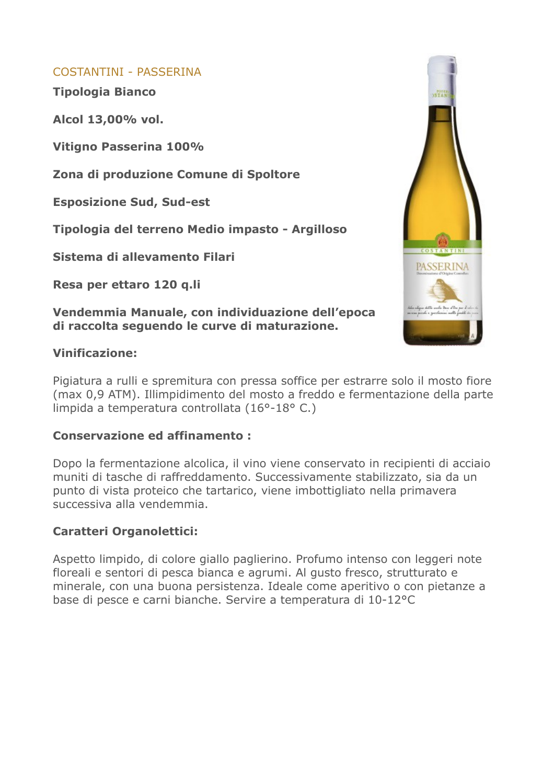## COSTANTINI - PASSERINA

**Tipologia Bianco**

**Alcol 13,00% vol.**

**Vitigno Passerina 100%**

**Zona di produzione Comune di Spoltore**

**Esposizione Sud, Sud-est**

**Tipologia del terreno Medio impasto - Argilloso**

**Sistema di allevamento Filari**

**Resa per ettaro 120 q.li**

**Vendemmia Manuale, con individuazione dell'epoca di raccolta seguendo le curve di maturazione.**

## **Vinificazione:**

Pigiatura a rulli e spremitura con pressa soffice per estrarre solo il mosto fiore (max 0,9 ATM). Illimpidimento del mosto a freddo e fermentazione della parte limpida a temperatura controllata (16°-18° C.)

## **Conservazione ed affinamento :**

Dopo la fermentazione alcolica, il vino viene conservato in recipienti di acciaio muniti di tasche di raffreddamento. Successivamente stabilizzato, sia da un punto di vista proteico che tartarico, viene imbottigliato nella primavera successiva alla vendemmia.

# **Caratteri Organolettici:**

Aspetto limpido, di colore giallo paglierino. Profumo intenso con leggeri note floreali e sentori di pesca bianca e agrumi. Al gusto fresco, strutturato e minerale, con una buona persistenza. Ideale come aperitivo o con pietanze a base di pesce e carni bianche. Servire a temperatura di 10-12°C